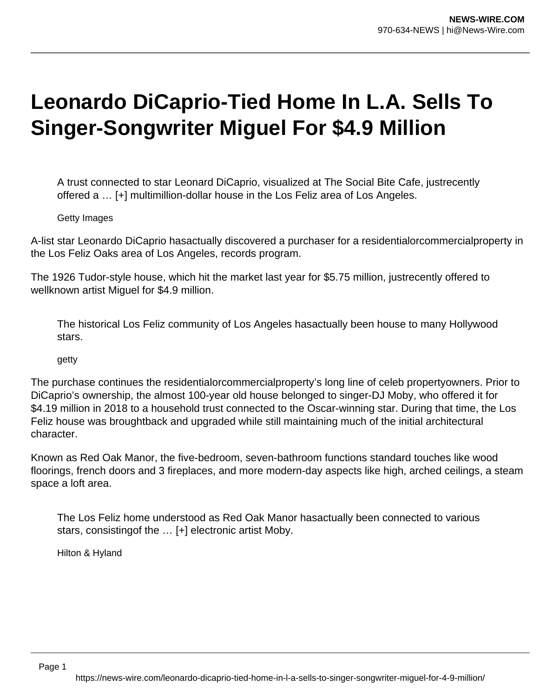## **Leonardo DiCaprio-Tied Home In L.A. Sells To Singer-Songwriter Miguel For \$4.9 Million**

A trust connected to star Leonard DiCaprio, visualized at The Social Bite Cafe, justrecently offered a … [+] multimillion-dollar house in the Los Feliz area of Los Angeles.

## Getty Images

A-list star Leonardo DiCaprio hasactually discovered a purchaser for a residentialorcommercialproperty in the Los Feliz Oaks area of Los Angeles, records program.

The 1926 Tudor-style house, which hit the market last year for \$5.75 million, justrecently offered to wellknown artist Miguel for \$4.9 million.

The historical Los Feliz community of Los Angeles hasactually been house to many Hollywood stars.

getty

The purchase continues the residentialorcommercialproperty's long line of celeb propertyowners. Prior to DiCaprio's ownership, the almost 100-year old house belonged to singer-DJ Moby, who offered it for \$4.19 million in 2018 to a household trust connected to the Oscar-winning star. During that time, the Los Feliz house was broughtback and upgraded while still maintaining much of the initial architectural character.

Known as Red Oak Manor, the five-bedroom, seven-bathroom functions standard touches like wood floorings, french doors and 3 fireplaces, and more modern-day aspects like high, arched ceilings, a steam space a loft area.

The Los Feliz home understood as Red Oak Manor hasactually been connected to various stars, consistingof the … [+] electronic artist Moby.

Hilton & Hyland